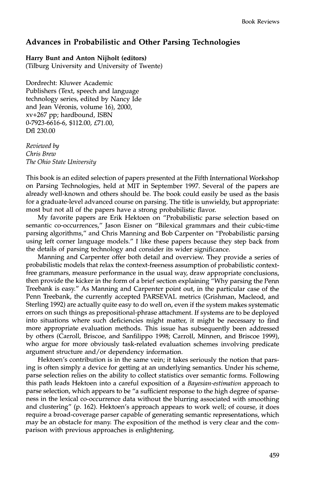## **Advances in Probabilistic and Other Parsing Technologies**

## **Harry Bunt and Anton Nijholt (editors)**

(Tilburg University and University of Twente)

Dordrecht: Kluwer Academic Publishers (Text, speech and language technology series, edited by Nancy Ide and Jean Véronis, volume 16), 2000, xv+267 pp; hardbound, ISBN 0-7923-6616-6, \$112.00, £71.00, Dfl 230.00

*Reviewed by Chris Brew The Ohio State University* 

This book is an edited selection of papers presented at the Fifth International Workshop on Parsing Technologies, held at MIT in September 1997. Several of the papers are already well-known and others should be. The book could easily be used as the basis for a graduate-level advanced course on parsing. The title is unwieldy, but appropriate: most but not all of the papers have a strong probabilistic flavor.

My favorite papers are Erik Hektoen on "Probabilistic parse selection based on semantic co-occurrences," Jason Eisner on "Bilexical grammars and their cubic-time parsing algorithms," and Chris Manning and Bob Carpenter on "Probabilistic parsing using left corner language models." I like these papers because they step back from the details of parsing technology and consider its wider significance.

Manning and Carpenter offer both detail and overview. They provide a series of probabilistic models that relax the context-freeness assumption of probabilistic contextfree grammars, measure performance in the usual way, draw appropriate conclusions, then provide the kicker in the form of a brief section explaining "Why parsing the Penn Treebank is easy." As Manning and Carpenter point out, in the particular case of the Penn Treebank, the currently accepted PARSEVAL metrics (Grishman, Macleod, and Sterling 1992) are actually quite easy to do well on, even if the system makes systematic errors on such things as prepositional-phrase attachment. If systems are to be deployed into situations where such deficiencies might matter, it might be necessary to find more appropriate evaluation methods. This issue has subsequently been addressed by others (Carroll, Briscoe, and Sanfilippo 1998; Carroll, Minnen, and Briscoe 1999), who argue for more obviously task-related evaluation schemes involving predicate argument structure and/or dependency information.

Hektoen's contribution is in the same vein; it takes seriously the notion that parsing is often simply a device for getting at an underlying semantics. Under his scheme, parse selection relies on the ability to collect statistics over semantic forms. Following this path leads Hektoen into a careful exposition of a *Bayesian-estimation* approach to parse selection, which appears to be "a sufficient response to the high degree of sparseness in the lexical co-occurrence data without the blurring associated with smoothing and clustering" (p. 162). Hektoen's approach appears to work well; of course, it does require a broad-coverage parser capable of generating semantic representations, which may be an obstacle for many. The exposition of the method is very clear and the comparison with previous approaches is enlightening.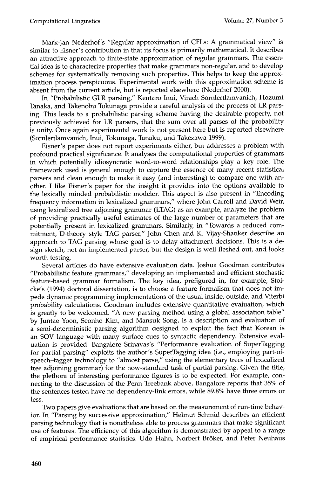Mark-Jan Nederhof's "Regular approximation of CFLs: A grammatical view" is similar to Eisner's contribution in that its focus is primarily mathematical. It describes an attractive approach to finite-state approximation of regular grammars. The essential idea is to characterize properties that make grammars non-regular, and to develop schemes for systematically removing such properties. This helps to keep the approximation process perspicuous. Experimental work with this approximation scheme is absent from the current article, but is reported elsewhere (Nederhof 2000).

In "Probabilistic GLR parsing," Kentaro Inui, Virach Sornlertlamvanich, Hozumi Tanaka, and Takenobu Tokunaga provide a careful analysis of the process of LR parsing. This leads to a probabilistic parsing scheme having the desirable property, not previously achieved for LR parsers, that the sum over all parses of the probability is unity. Once again experimental work is not present here but is reported elsewhere (Sornlertlamvanich, Inui, Tokunaga, Tanaku, and Takezawa 1999).

Eisner's paper does not report experiments either, but addresses a problem with profound practical significance. It analyses the computational properties of grammars in which potentially idiosyncratic word-to-word relationships play a key role. The framework used is general enough to capture the essence of many recent statistical parsers and clean enough to make it easy (and interesting) to compare one with another. I like Eisner's paper for the insight it provides into the options available to the lexically minded probabilistic modeler. This aspect is also present in "Encoding frequency information in lexicalized grammars," where John Carroll and David Weir, using lexicalized tree adjoining grammar (LTAG) as an example, analyze the problem of providing practically useful estimates of the large number of parameters that are potentially present in lexicalized grammars. Similarly, in "Towards a reduced commitment, D-theory style TAG parser," John Chen and K. Vijay-Shanker describe an approach to TAG parsing whose goal is to delay attachment decisions. This is a design sketch, not an implemented parser, but the design is well fleshed out, and looks worth testing.

Several articles do have extensive evaluation data. Joshua Goodman contributes "Probabilistic feature grammars," developing an implemented and efficient stochastic feature-based grammar formalism. The key idea, prefigured in, for example, Stolcke's (1994) doctoral dissertation, is to choose a feature formalism that does not impede dynamic programming implementations of the usual inside, outside, and Viterbi probability calculations. Goodman includes extensive quantitative evaluation, which is greatly to be welcomed. "A new parsing method using a global association table" by Juntae Yoon, Seonho Kim, and Mansuk Song, is a description and evaluation of a semi-deterministic parsing algorithm designed to exploit the fact that Korean is an SOV language with many surface cues to syntactic dependency. Extensive evaluation is provided. Bangalore Srinavas's "Performance evaluation of SuperTagging for partial parsing" exploits the author's SuperTagging idea (i.e., employing part-ofspeech-tagger technology to "almost parse," using the elementary trees of lexicalized tree adjoining grammar) for the now-standard task of partial parsing. Given the title, the plethora of interesting performance figures is to be expected. For example, connecting to the discussion of the Penn Treebank above, Bangalore reports that 35% of the sentences tested have no dependency-link errors, while 89.8% have three errors or less.

Two papers give evaluations that are based on the measurement of run-time behavior. In "Parsing by successive approximation," Helmut Schmid describes an efficient parsing technology that is nonetheless able to process grammars that make significant use of features. The efficiency of this algorithm is demonstrated by appeal to a range of empirical performance statistics. Udo Hahn, Norbert Bröker, and Peter Neuhaus